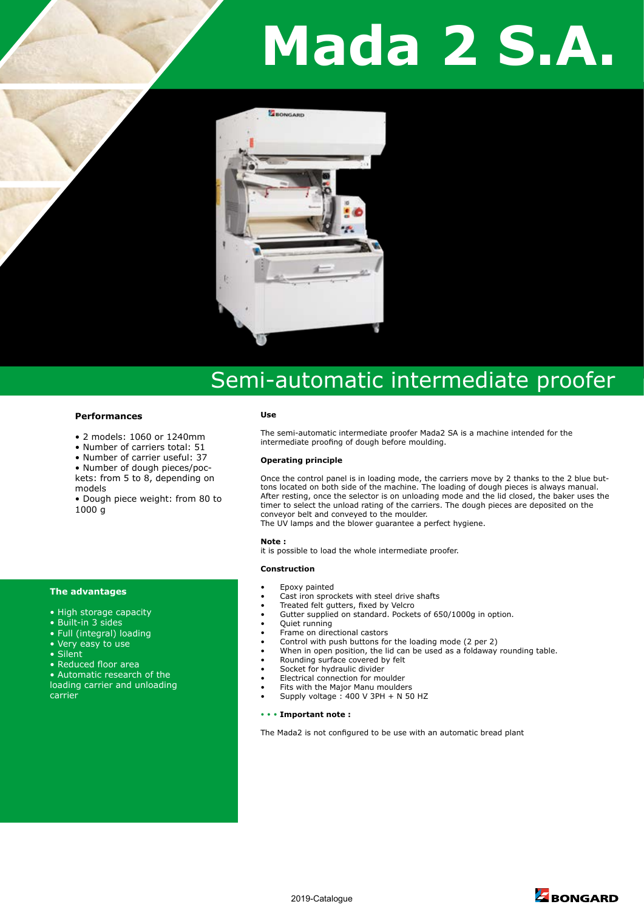# **Mada 2 S.A.**



# Semi-automatic intermediate proofer

# **Performances**

- 2 models: 1060 or 1240mm
- Number of carriers total: 51
- Number of carrier useful: 37
- Number of dough pieces/pockets: from 5 to 8, depending on models

• Dough piece weight: from 80 to 1000 g

### **The advantages**

- High storage capacity
- Built-in 3 sides
- Full (integral) loading
- Very easy to use
- Silent
- Reduced floor area
- Automatic research of the loading carrier and unloading carrier

#### **Use**

The semi-automatic intermediate proofer Mada2 SA is a machine intended for the intermediate proofing of dough before moulding.

#### **Operating principle**

Once the control panel is in loading mode, the carriers move by 2 thanks to the 2 blue buttons located on both side of the machine. The loading of dough pieces is always manual. After resting, once the selector is on unloading mode and the lid closed, the baker uses the timer to select the unload rating of the carriers. The dough pieces are deposited on the conveyor belt and conveyed to the moulder.

The UV lamps and the blower guarantee a perfect hygiene.

#### **Note :**

it is possible to load the whole intermediate proofer.

#### **Construction**

- Epoxy painted
- Cast iron sprockets with steel drive shafts
- Treated felt gutters, fixed by Velcro
- Gutter supplied on standard. Pockets of 650/1000g in option.
- Quiet running
- Frame on directional castors
- Control with push buttons for the loading mode (2 per 2)
- When in open position, the lid can be used as a foldaway rounding table.
- Rounding surface covered by felt
- Socket for hydraulic divider
- Electrical connection for moulder
- Fits with the Major Manu moulders
- Supply voltage : 400 V 3PH + N 50 HZ

# • • • **Important note :**

The Mada2 is not configured to be use with an automatic bread plant